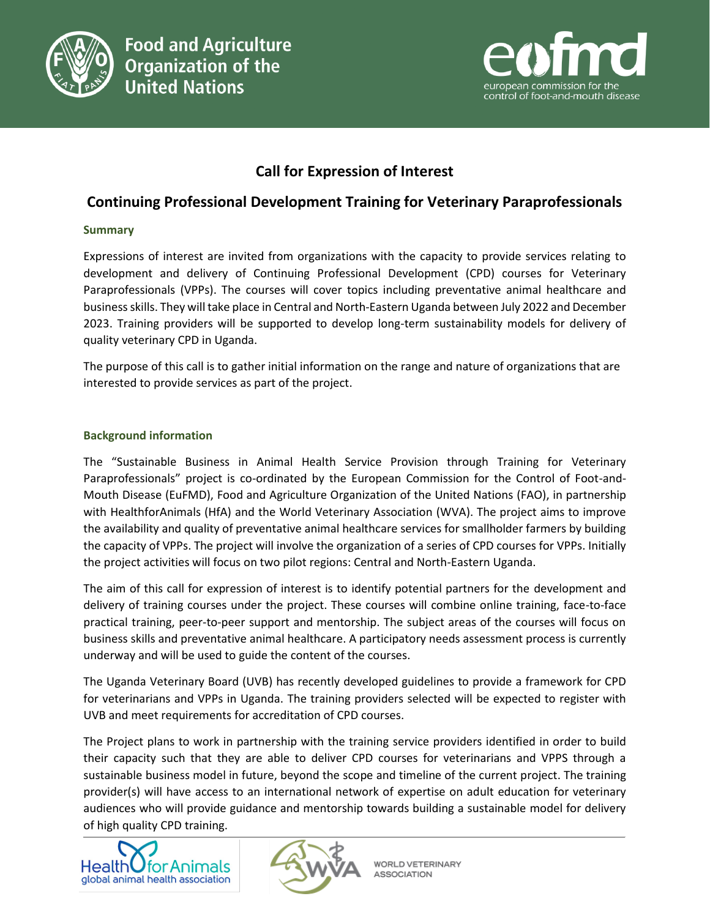



# **Call for Expression of Interest**

## **Continuing Professional Development Training for Veterinary Paraprofessionals**

#### **Summary**

Expressions of interest are invited from organizations with the capacity to provide services relating to development and delivery of Continuing Professional Development (CPD) courses for Veterinary Paraprofessionals (VPPs). The courses will cover topics including preventative animal healthcare and business skills. They will take place in Central and North-Eastern Uganda between July 2022 and December 2023. Training providers will be supported to develop long-term sustainability models for delivery of quality veterinary CPD in Uganda.

The purpose of this call is to gather initial information on the range and nature of organizations that are interested to provide services as part of the project.

#### **Background information**

The "Sustainable Business in Animal Health Service Provision through Training for Veterinary Paraprofessionals" project is co-ordinated by the European Commission for the Control of Foot-and-Mouth Disease (EuFMD), Food and Agriculture Organization of the United Nations (FAO), in partnership with HealthforAnimals (HfA) and the World Veterinary Association (WVA). The project aims to improve the availability and quality of preventative animal healthcare services for smallholder farmers by building the capacity of VPPs. The project will involve the organization of a series of CPD courses for VPPs. Initially the project activities will focus on two pilot regions: Central and North-Eastern Uganda.

The aim of this call for expression of interest is to identify potential partners for the development and delivery of training courses under the project. These courses will combine online training, face-to-face practical training, peer-to-peer support and mentorship. The subject areas of the courses will focus on business skills and preventative animal healthcare. A participatory needs assessment process is currently underway and will be used to guide the content of the courses.

The Uganda Veterinary Board (UVB) has recently developed guidelines to provide a framework for CPD for veterinarians and VPPs in Uganda. The training providers selected will be expected to register with UVB and meet requirements for accreditation of CPD courses.

The Project plans to work in partnership with the training service providers identified in order to build their capacity such that they are able to deliver CPD courses for veterinarians and VPPS through a sustainable business model in future, beyond the scope and timeline of the current project. The training provider(s) will have access to an international network of expertise on adult education for veterinary audiences who will provide guidance and mentorship towards building a sustainable model for delivery of high quality CPD training.





**WORLD VETERINARY ASSOCIATION**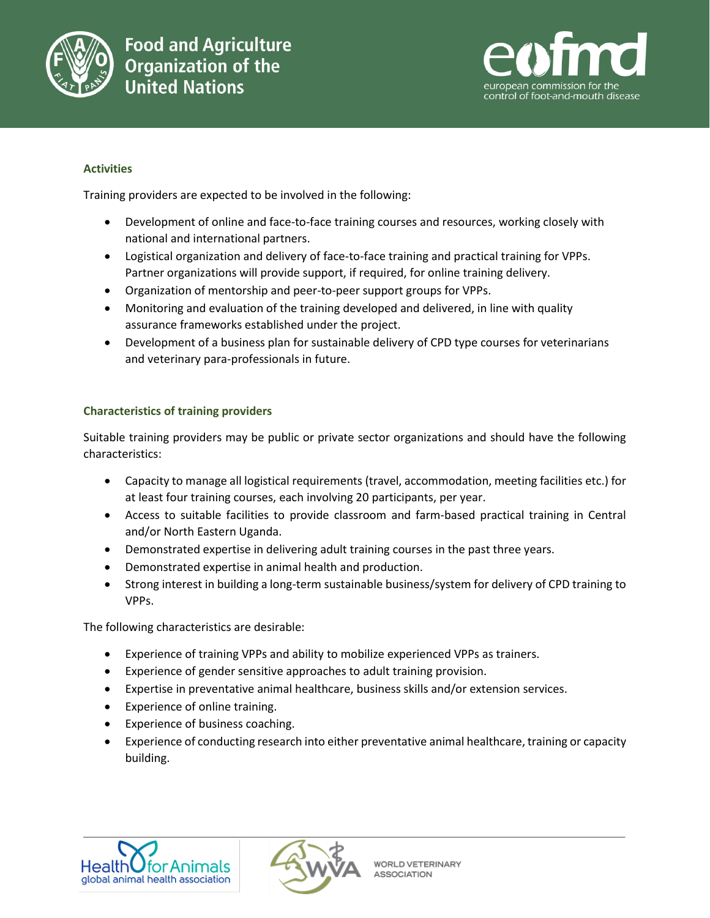



## **Activities**

Training providers are expected to be involved in the following:

- Development of online and face-to-face training courses and resources, working closely with national and international partners.
- Logistical organization and delivery of face-to-face training and practical training for VPPs. Partner organizations will provide support, if required, for online training delivery.
- Organization of mentorship and peer-to-peer support groups for VPPs.
- Monitoring and evaluation of the training developed and delivered, in line with quality assurance frameworks established under the project.
- Development of a business plan for sustainable delivery of CPD type courses for veterinarians and veterinary para-professionals in future.

## **Characteristics of training providers**

Suitable training providers may be public or private sector organizations and should have the following characteristics:

- Capacity to manage all logistical requirements (travel, accommodation, meeting facilities etc.) for at least four training courses, each involving 20 participants, per year.
- Access to suitable facilities to provide classroom and farm-based practical training in Central and/or North Eastern Uganda.
- Demonstrated expertise in delivering adult training courses in the past three years.
- Demonstrated expertise in animal health and production.
- Strong interest in building a long-term sustainable business/system for delivery of CPD training to VPPs.

The following characteristics are desirable:

- Experience of training VPPs and ability to mobilize experienced VPPs as trainers.
- Experience of gender sensitive approaches to adult training provision.
- Expertise in preventative animal healthcare, business skills and/or extension services.
- Experience of online training.
- Experience of business coaching.
- Experience of conducting research into either preventative animal healthcare, training or capacity building.